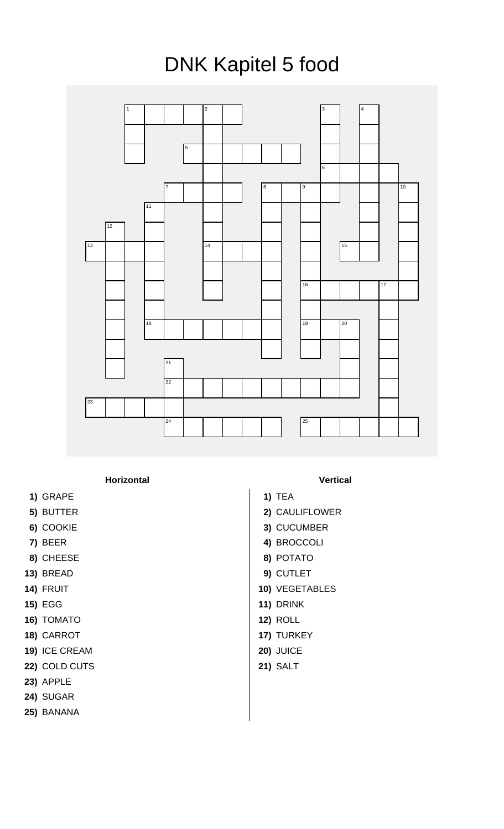## DNK Kapitel 5 food



**Horizontal Vertical**

- **1)** GRAPE **1)** TEA
- 
- 
- 
- **8)** CHEESE **8)** POTATO
- 
- 
- 
- **16)** TOMATO **12)** ROLL
- **18)** CARROT **17)** TURKEY
- **19)** ICE CREAM **20)** JUICE
- **22)** COLD CUTS **21)** SALT
- **23)** APPLE
- **24)** SUGAR
- **25)** BANANA
- 
- 
- **5)** BUTTER **2)** CAULIFLOWER
- **6)** COOKIE **3)** CUCUMBER
- **7)** BEER **4)** BROCCOLI
	-
- **13)** BREAD **9)** CUTLET
- **14)** FRUIT **10)** VEGETABLES
- **15)** EGG **11)** DRINK
	-
	-
	-
	-